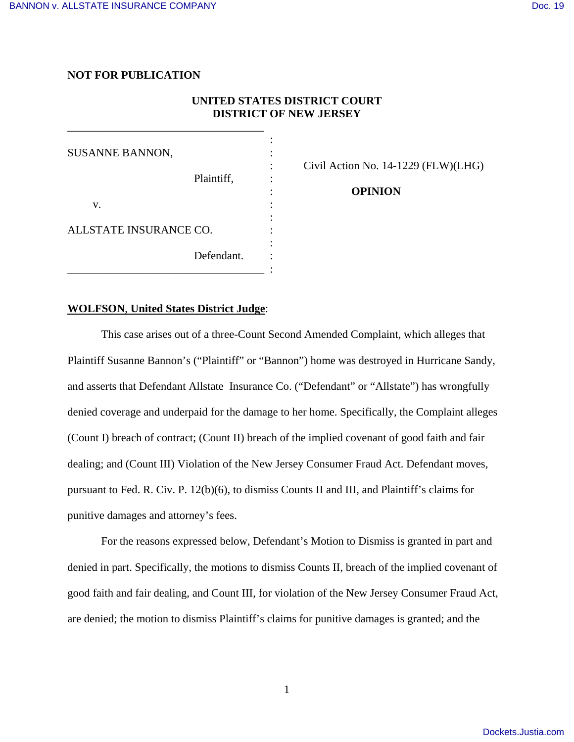# **NOT FOR PUBLICATION**

# **UNITED STATES DISTRICT COURT DISTRICT OF NEW JERSEY**

| <b>SUSANNE BANNON,</b> |            |  |
|------------------------|------------|--|
|                        | Plaintiff, |  |
| V.                     |            |  |
| ALLSTATE INSURANCE CO. |            |  |
|                        | Defendant. |  |

\_\_\_\_\_\_\_\_\_\_\_\_\_\_\_\_\_\_\_\_\_\_\_\_\_\_\_\_\_\_\_\_\_\_\_

: Civil Action No. 14-1229 (FLW)(LHG)

: **OPINION**

# **WOLFSON**, **United States District Judge**:

 This case arises out of a three-Count Second Amended Complaint, which alleges that Plaintiff Susanne Bannon's ("Plaintiff" or "Bannon") home was destroyed in Hurricane Sandy, and asserts that Defendant Allstate Insurance Co. ("Defendant" or "Allstate") has wrongfully denied coverage and underpaid for the damage to her home. Specifically, the Complaint alleges (Count I) breach of contract; (Count II) breach of the implied covenant of good faith and fair dealing; and (Count III) Violation of the New Jersey Consumer Fraud Act. Defendant moves, pursuant to Fed. R. Civ. P. 12(b)(6), to dismiss Counts II and III, and Plaintiff's claims for punitive damages and attorney's fees.

 For the reasons expressed below, Defendant's Motion to Dismiss is granted in part and denied in part. Specifically, the motions to dismiss Counts II, breach of the implied covenant of good faith and fair dealing, and Count III, for violation of the New Jersey Consumer Fraud Act, are denied; the motion to dismiss Plaintiff's claims for punitive damages is granted; and the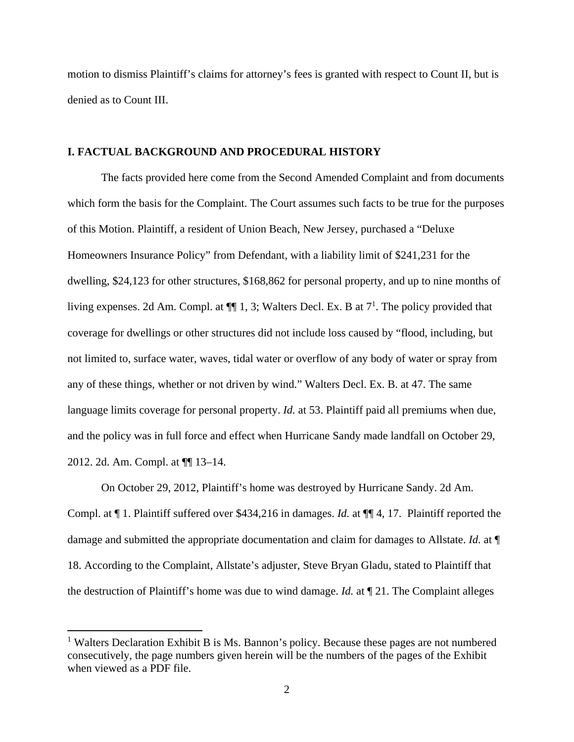motion to dismiss Plaintiff's claims for attorney's fees is granted with respect to Count II, but is denied as to Count III.

### **I. FACTUAL BACKGROUND AND PROCEDURAL HISTORY**

 The facts provided here come from the Second Amended Complaint and from documents which form the basis for the Complaint. The Court assumes such facts to be true for the purposes of this Motion. Plaintiff, a resident of Union Beach, New Jersey, purchased a "Deluxe Homeowners Insurance Policy" from Defendant, with a liability limit of \$241,231 for the dwelling, \$24,123 for other structures, \$168,862 for personal property, and up to nine months of living expenses. 2d Am. Compl. at  $\P$ [1, 3; Walters Decl. Ex. B at  $7<sup>1</sup>$ . The policy provided that coverage for dwellings or other structures did not include loss caused by "flood, including, but not limited to, surface water, waves, tidal water or overflow of any body of water or spray from any of these things, whether or not driven by wind." Walters Decl. Ex. B. at 47. The same language limits coverage for personal property. *Id.* at 53. Plaintiff paid all premiums when due, and the policy was in full force and effect when Hurricane Sandy made landfall on October 29, 2012. 2d. Am. Compl. at ¶¶ 13–14.

 On October 29, 2012, Plaintiff's home was destroyed by Hurricane Sandy. 2d Am. Compl. at ¶ 1. Plaintiff suffered over \$434,216 in damages. *Id.* at ¶¶ 4, 17. Plaintiff reported the damage and submitted the appropriate documentation and claim for damages to Allstate. *Id.* at ¶ 18. According to the Complaint, Allstate's adjuster, Steve Bryan Gladu, stated to Plaintiff that the destruction of Plaintiff's home was due to wind damage. *Id.* at ¶ 21. The Complaint alleges

<sup>&</sup>lt;sup>1</sup> Walters Declaration Exhibit B is Ms. Bannon's policy. Because these pages are not numbered consecutively, the page numbers given herein will be the numbers of the pages of the Exhibit when viewed as a PDF file.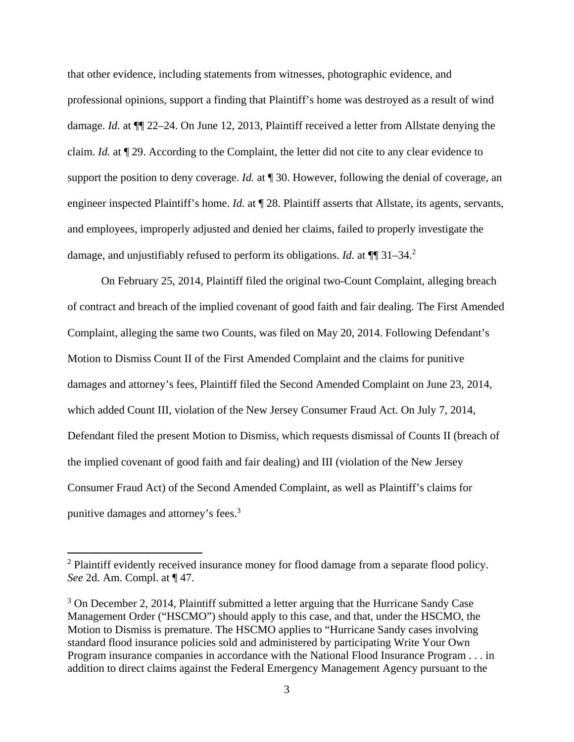that other evidence, including statements from witnesses, photographic evidence, and professional opinions, support a finding that Plaintiff's home was destroyed as a result of wind damage. *Id.* at ¶¶ 22–24. On June 12, 2013, Plaintiff received a letter from Allstate denying the claim. *Id.* at ¶ 29. According to the Complaint, the letter did not cite to any clear evidence to support the position to deny coverage. *Id.* at ¶ 30. However, following the denial of coverage, an engineer inspected Plaintiff's home. *Id.* at  $\P$  28. Plaintiff asserts that Allstate, its agents, servants, and employees, improperly adjusted and denied her claims, failed to properly investigate the damage, and unjustifiably refused to perform its obligations. *Id.* at  $\P$  31–34.<sup>2</sup>

 On February 25, 2014, Plaintiff filed the original two-Count Complaint, alleging breach of contract and breach of the implied covenant of good faith and fair dealing. The First Amended Complaint, alleging the same two Counts, was filed on May 20, 2014. Following Defendant's Motion to Dismiss Count II of the First Amended Complaint and the claims for punitive damages and attorney's fees, Plaintiff filed the Second Amended Complaint on June 23, 2014, which added Count III, violation of the New Jersey Consumer Fraud Act. On July 7, 2014, Defendant filed the present Motion to Dismiss, which requests dismissal of Counts II (breach of the implied covenant of good faith and fair dealing) and III (violation of the New Jersey Consumer Fraud Act) of the Second Amended Complaint, as well as Plaintiff's claims for punitive damages and attorney's fees.<sup>3</sup>

<sup>&</sup>lt;sup>2</sup> Plaintiff evidently received insurance money for flood damage from a separate flood policy. *See* 2d. Am. Compl. at ¶ 47.

<sup>&</sup>lt;sup>3</sup> On December 2, 2014, Plaintiff submitted a letter arguing that the Hurricane Sandy Case Management Order ("HSCMO") should apply to this case, and that, under the HSCMO, the Motion to Dismiss is premature. The HSCMO applies to "Hurricane Sandy cases involving standard flood insurance policies sold and administered by participating Write Your Own Program insurance companies in accordance with the National Flood Insurance Program . . . in addition to direct claims against the Federal Emergency Management Agency pursuant to the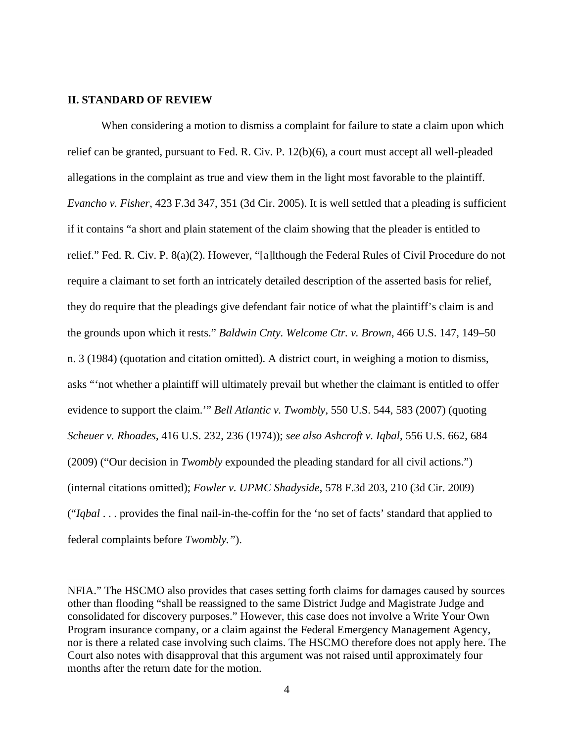#### **II. STANDARD OF REVIEW**

When considering a motion to dismiss a complaint for failure to state a claim upon which relief can be granted, pursuant to Fed. R. Civ. P. 12(b)(6), a court must accept all well-pleaded allegations in the complaint as true and view them in the light most favorable to the plaintiff. *Evancho v. Fisher*, 423 F.3d 347, 351 (3d Cir. 2005). It is well settled that a pleading is sufficient if it contains "a short and plain statement of the claim showing that the pleader is entitled to relief." Fed. R. Civ. P. 8(a)(2). However, "[a]lthough the Federal Rules of Civil Procedure do not require a claimant to set forth an intricately detailed description of the asserted basis for relief, they do require that the pleadings give defendant fair notice of what the plaintiff's claim is and the grounds upon which it rests." *Baldwin Cnty. Welcome Ctr. v. Brown*, 466 U.S. 147, 149–50 n. 3 (1984) (quotation and citation omitted). A district court, in weighing a motion to dismiss, asks "'not whether a plaintiff will ultimately prevail but whether the claimant is entitled to offer evidence to support the claim.'" *Bell Atlantic v. Twombly*, 550 U.S. 544, 583 (2007) (quoting *Scheuer v. Rhoades*, 416 U.S. 232, 236 (1974)); *see also Ashcroft v. Iqbal*, 556 U.S. 662, 684 (2009) ("Our decision in *Twombly* expounded the pleading standard for all civil actions.") (internal citations omitted); *Fowler v. UPMC Shadyside*, 578 F.3d 203, 210 (3d Cir. 2009) ("*Iqbal* . . . provides the final nail-in-the-coffin for the 'no set of facts' standard that applied to federal complaints before *Twombly."*).

<u> 1989 - Johann Stoff, fransk politik (d. 1989)</u>

NFIA." The HSCMO also provides that cases setting forth claims for damages caused by sources other than flooding "shall be reassigned to the same District Judge and Magistrate Judge and consolidated for discovery purposes." However, this case does not involve a Write Your Own Program insurance company, or a claim against the Federal Emergency Management Agency, nor is there a related case involving such claims. The HSCMO therefore does not apply here. The Court also notes with disapproval that this argument was not raised until approximately four months after the return date for the motion.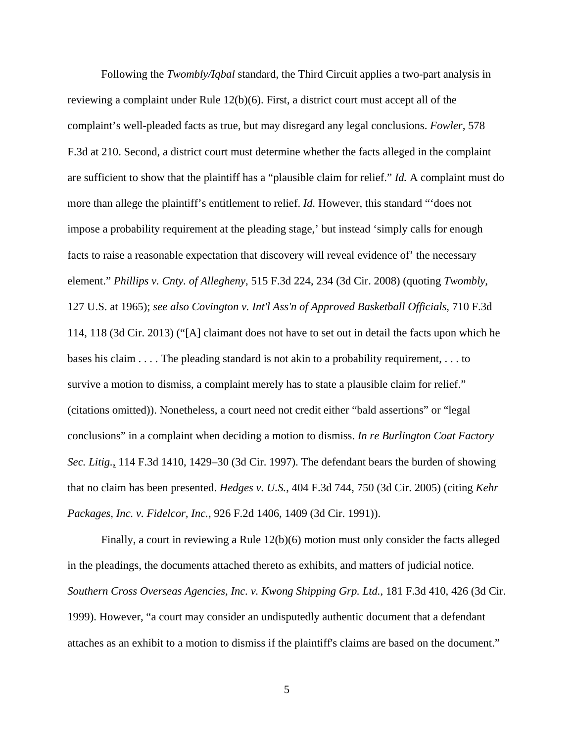Following the *Twombly/Iqbal* standard, the Third Circuit applies a two-part analysis in reviewing a complaint under Rule 12(b)(6). First, a district court must accept all of the complaint's well-pleaded facts as true, but may disregard any legal conclusions. *Fowler,* 578 F.3d at 210. Second, a district court must determine whether the facts alleged in the complaint are sufficient to show that the plaintiff has a "plausible claim for relief." *Id.* A complaint must do more than allege the plaintiff's entitlement to relief. *Id.* However, this standard "'does not impose a probability requirement at the pleading stage,' but instead 'simply calls for enough facts to raise a reasonable expectation that discovery will reveal evidence of' the necessary element." *Phillips v. Cnty. of Allegheny*, 515 F.3d 224, 234 (3d Cir. 2008) (quoting *Twombly*, 127 U.S. at 1965); *see also Covington v. Int'l Ass'n of Approved Basketball Officials*, 710 F.3d 114, 118 (3d Cir. 2013) ("[A] claimant does not have to set out in detail the facts upon which he bases his claim . . . . The pleading standard is not akin to a probability requirement, . . . to survive a motion to dismiss, a complaint merely has to state a plausible claim for relief." (citations omitted)). Nonetheless, a court need not credit either "bald assertions" or "legal conclusions" in a complaint when deciding a motion to dismiss. *In re Burlington Coat Factory Sec. Litig.*, 114 F.3d 1410, 1429–30 (3d Cir. 1997). The defendant bears the burden of showing that no claim has been presented. *Hedges v. U.S.*, 404 F.3d 744, 750 (3d Cir. 2005) (citing *Kehr Packages, Inc. v. Fidelcor, Inc.*, 926 F.2d 1406, 1409 (3d Cir. 1991)).

Finally, a court in reviewing a Rule 12(b)(6) motion must only consider the facts alleged in the pleadings, the documents attached thereto as exhibits, and matters of judicial notice. *Southern Cross Overseas Agencies, Inc. v. Kwong Shipping Grp. Ltd.*, 181 F.3d 410, 426 (3d Cir. 1999). However, "a court may consider an undisputedly authentic document that a defendant attaches as an exhibit to a motion to dismiss if the plaintiff's claims are based on the document."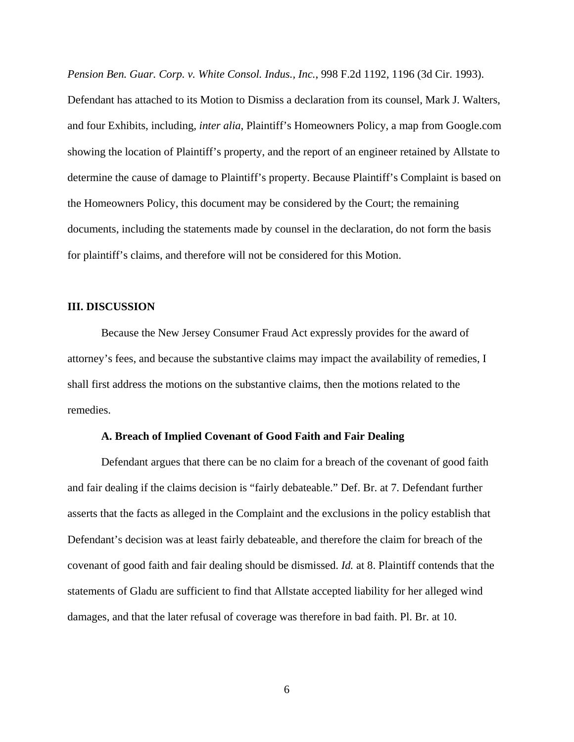*Pension Ben. Guar. Corp. v. White Consol. Indus., Inc.*, 998 F.2d 1192, 1196 (3d Cir. 1993).

Defendant has attached to its Motion to Dismiss a declaration from its counsel, Mark J. Walters, and four Exhibits, including, *inter alia*, Plaintiff's Homeowners Policy, a map from Google.com showing the location of Plaintiff's property, and the report of an engineer retained by Allstate to determine the cause of damage to Plaintiff's property. Because Plaintiff's Complaint is based on the Homeowners Policy, this document may be considered by the Court; the remaining documents, including the statements made by counsel in the declaration, do not form the basis for plaintiff's claims, and therefore will not be considered for this Motion.

### **III. DISCUSSION**

 Because the New Jersey Consumer Fraud Act expressly provides for the award of attorney's fees, and because the substantive claims may impact the availability of remedies, I shall first address the motions on the substantive claims, then the motions related to the remedies.

### **A. Breach of Implied Covenant of Good Faith and Fair Dealing**

 Defendant argues that there can be no claim for a breach of the covenant of good faith and fair dealing if the claims decision is "fairly debateable." Def. Br. at 7. Defendant further asserts that the facts as alleged in the Complaint and the exclusions in the policy establish that Defendant's decision was at least fairly debateable, and therefore the claim for breach of the covenant of good faith and fair dealing should be dismissed. *Id.* at 8. Plaintiff contends that the statements of Gladu are sufficient to find that Allstate accepted liability for her alleged wind damages, and that the later refusal of coverage was therefore in bad faith. Pl. Br. at 10.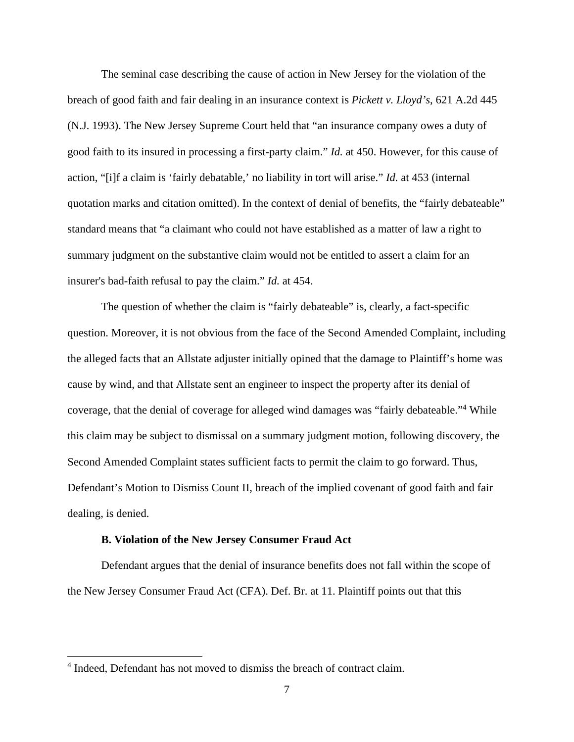The seminal case describing the cause of action in New Jersey for the violation of the breach of good faith and fair dealing in an insurance context is *Pickett v. Lloyd's*, 621 A.2d 445 (N.J. 1993). The New Jersey Supreme Court held that "an insurance company owes a duty of good faith to its insured in processing a first-party claim." *Id.* at 450. However, for this cause of action, "[i]f a claim is 'fairly debatable,' no liability in tort will arise." *Id.* at 453 (internal quotation marks and citation omitted). In the context of denial of benefits, the "fairly debateable" standard means that "a claimant who could not have established as a matter of law a right to summary judgment on the substantive claim would not be entitled to assert a claim for an insurer's bad-faith refusal to pay the claim." *Id.* at 454.

 The question of whether the claim is "fairly debateable" is, clearly, a fact-specific question. Moreover, it is not obvious from the face of the Second Amended Complaint, including the alleged facts that an Allstate adjuster initially opined that the damage to Plaintiff's home was cause by wind, and that Allstate sent an engineer to inspect the property after its denial of coverage, that the denial of coverage for alleged wind damages was "fairly debateable."<sup>4</sup> While this claim may be subject to dismissal on a summary judgment motion, following discovery, the Second Amended Complaint states sufficient facts to permit the claim to go forward. Thus, Defendant's Motion to Dismiss Count II, breach of the implied covenant of good faith and fair dealing, is denied.

#### **B. Violation of the New Jersey Consumer Fraud Act**

 Defendant argues that the denial of insurance benefits does not fall within the scope of the New Jersey Consumer Fraud Act (CFA). Def. Br. at 11. Plaintiff points out that this

<sup>&</sup>lt;sup>4</sup> Indeed, Defendant has not moved to dismiss the breach of contract claim.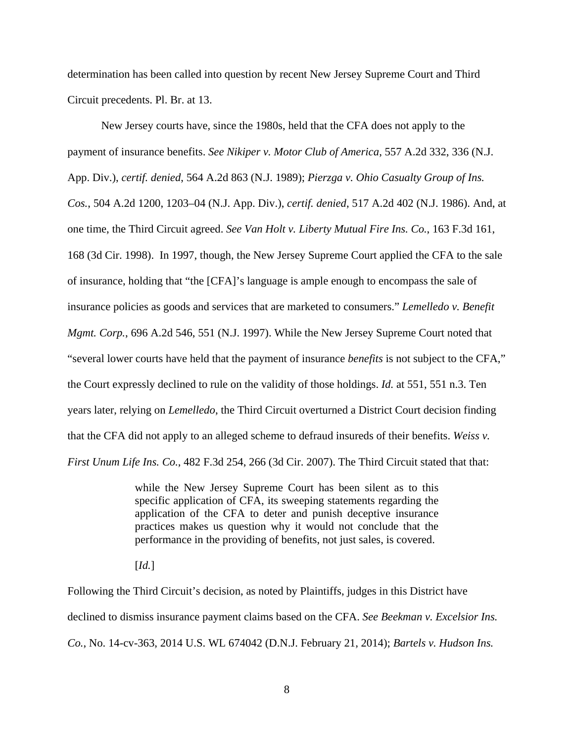determination has been called into question by recent New Jersey Supreme Court and Third Circuit precedents. Pl. Br. at 13.

 New Jersey courts have, since the 1980s, held that the CFA does not apply to the payment of insurance benefits. *See Nikiper v. Motor Club of America*, 557 A.2d 332, 336 (N.J. App. Div.), *certif. denied*, 564 A.2d 863 (N.J. 1989); *Pierzga v. Ohio Casualty Group of Ins. Cos.*, 504 A.2d 1200, 1203–04 (N.J. App. Div.), *certif. denied*, 517 A.2d 402 (N.J. 1986). And, at one time, the Third Circuit agreed. *See Van Holt v. Liberty Mutual Fire Ins. Co.*, 163 F.3d 161, 168 (3d Cir. 1998). In 1997, though, the New Jersey Supreme Court applied the CFA to the sale of insurance, holding that "the [CFA]'s language is ample enough to encompass the sale of insurance policies as goods and services that are marketed to consumers." *Lemelledo v. Benefit Mgmt. Corp.*, 696 A.2d 546, 551 (N.J. 1997). While the New Jersey Supreme Court noted that "several lower courts have held that the payment of insurance *benefits* is not subject to the CFA," the Court expressly declined to rule on the validity of those holdings. *Id.* at 551, 551 n.3. Ten years later, relying on *Lemelledo*, the Third Circuit overturned a District Court decision finding that the CFA did not apply to an alleged scheme to defraud insureds of their benefits. *Weiss v. First Unum Life Ins. Co.*, 482 F.3d 254, 266 (3d Cir. 2007). The Third Circuit stated that that:

> while the New Jersey Supreme Court has been silent as to this specific application of CFA, its sweeping statements regarding the application of the CFA to deter and punish deceptive insurance practices makes us question why it would not conclude that the performance in the providing of benefits, not just sales, is covered.

[*Id.*]

Following the Third Circuit's decision, as noted by Plaintiffs, judges in this District have declined to dismiss insurance payment claims based on the CFA. *See Beekman v. Excelsior Ins. Co.*, No. 14-cv-363, 2014 U.S. WL 674042 (D.N.J. February 21, 2014); *Bartels v. Hudson Ins.*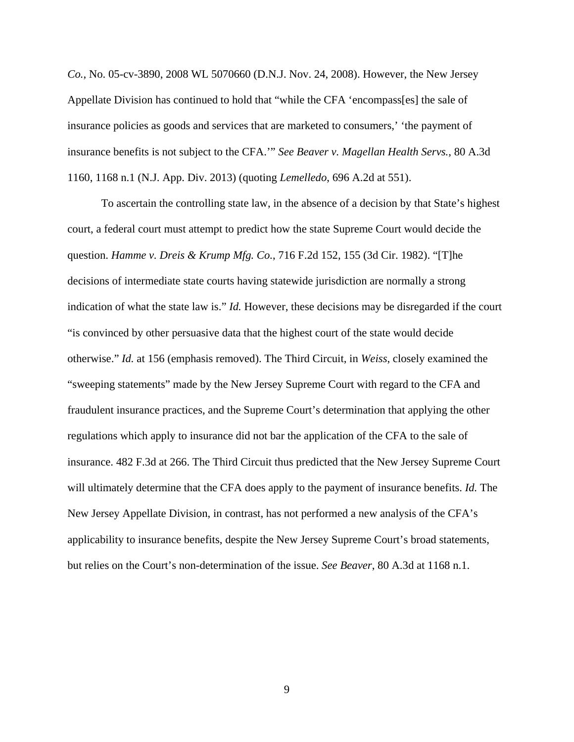*Co.*, No. 05-cv-3890, 2008 WL 5070660 (D.N.J. Nov. 24, 2008). However, the New Jersey Appellate Division has continued to hold that "while the CFA 'encompass[es] the sale of insurance policies as goods and services that are marketed to consumers,' 'the payment of insurance benefits is not subject to the CFA.'" *See Beaver v. Magellan Health Servs.*, 80 A.3d 1160, 1168 n.1 (N.J. App. Div. 2013) (quoting *Lemelledo*, 696 A.2d at 551).

 To ascertain the controlling state law, in the absence of a decision by that State's highest court, a federal court must attempt to predict how the state Supreme Court would decide the question. *Hamme v. Dreis & Krump Mfg. Co.*, 716 F.2d 152, 155 (3d Cir. 1982). "[T]he decisions of intermediate state courts having statewide jurisdiction are normally a strong indication of what the state law is." *Id.* However, these decisions may be disregarded if the court "is convinced by other persuasive data that the highest court of the state would decide otherwise." *Id.* at 156 (emphasis removed). The Third Circuit, in *Weiss*, closely examined the "sweeping statements" made by the New Jersey Supreme Court with regard to the CFA and fraudulent insurance practices, and the Supreme Court's determination that applying the other regulations which apply to insurance did not bar the application of the CFA to the sale of insurance. 482 F.3d at 266. The Third Circuit thus predicted that the New Jersey Supreme Court will ultimately determine that the CFA does apply to the payment of insurance benefits. *Id.* The New Jersey Appellate Division, in contrast, has not performed a new analysis of the CFA's applicability to insurance benefits, despite the New Jersey Supreme Court's broad statements, but relies on the Court's non-determination of the issue. *See Beaver*, 80 A.3d at 1168 n.1.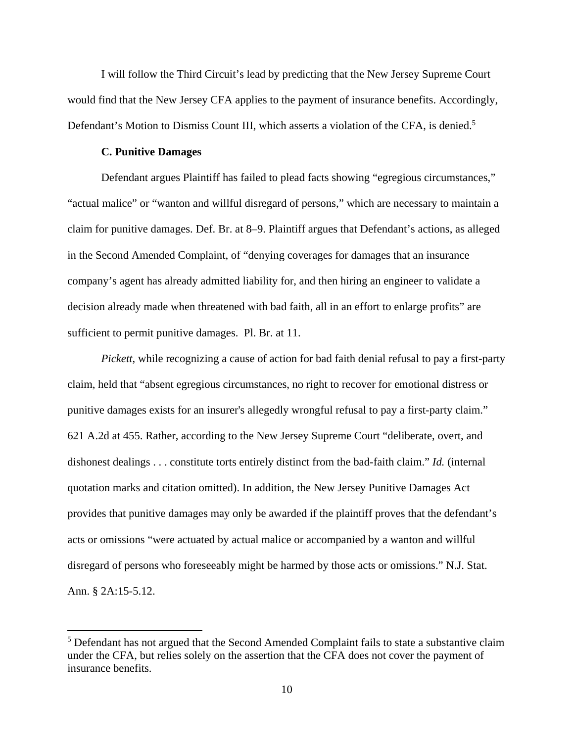I will follow the Third Circuit's lead by predicting that the New Jersey Supreme Court would find that the New Jersey CFA applies to the payment of insurance benefits. Accordingly, Defendant's Motion to Dismiss Count III, which asserts a violation of the CFA, is denied.<sup>5</sup>

## **C. Punitive Damages**

 Defendant argues Plaintiff has failed to plead facts showing "egregious circumstances," "actual malice" or "wanton and willful disregard of persons," which are necessary to maintain a claim for punitive damages. Def. Br. at 8–9. Plaintiff argues that Defendant's actions, as alleged in the Second Amended Complaint, of "denying coverages for damages that an insurance company's agent has already admitted liability for, and then hiring an engineer to validate a decision already made when threatened with bad faith, all in an effort to enlarge profits" are sufficient to permit punitive damages. Pl. Br. at 11.

*Pickett*, while recognizing a cause of action for bad faith denial refusal to pay a first-party claim, held that "absent egregious circumstances, no right to recover for emotional distress or punitive damages exists for an insurer's allegedly wrongful refusal to pay a first-party claim." 621 A.2d at 455. Rather, according to the New Jersey Supreme Court "deliberate, overt, and dishonest dealings . . . constitute torts entirely distinct from the bad-faith claim." *Id.* (internal quotation marks and citation omitted). In addition, the New Jersey Punitive Damages Act provides that punitive damages may only be awarded if the plaintiff proves that the defendant's acts or omissions "were actuated by actual malice or accompanied by a wanton and willful disregard of persons who foreseeably might be harmed by those acts or omissions." N.J. Stat. Ann. § 2A:15-5.12.

<sup>&</sup>lt;sup>5</sup> Defendant has not argued that the Second Amended Complaint fails to state a substantive claim under the CFA, but relies solely on the assertion that the CFA does not cover the payment of insurance benefits.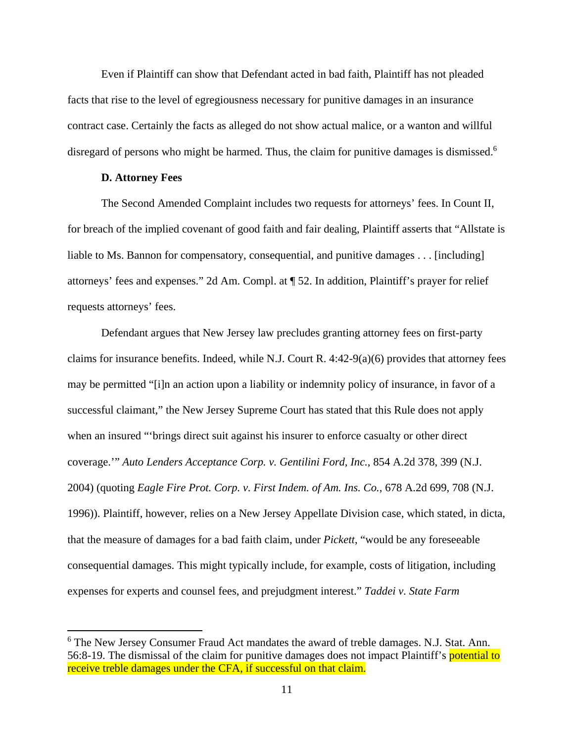Even if Plaintiff can show that Defendant acted in bad faith, Plaintiff has not pleaded facts that rise to the level of egregiousness necessary for punitive damages in an insurance contract case. Certainly the facts as alleged do not show actual malice, or a wanton and willful disregard of persons who might be harmed. Thus, the claim for punitive damages is dismissed.<sup>6</sup>

## **D. Attorney Fees**

 The Second Amended Complaint includes two requests for attorneys' fees. In Count II, for breach of the implied covenant of good faith and fair dealing, Plaintiff asserts that "Allstate is liable to Ms. Bannon for compensatory, consequential, and punitive damages . . . [including] attorneys' fees and expenses." 2d Am. Compl. at ¶ 52. In addition, Plaintiff's prayer for relief requests attorneys' fees.

Defendant argues that New Jersey law precludes granting attorney fees on first-party claims for insurance benefits. Indeed, while N.J. Court R.  $4:42-9(a)(6)$  provides that attorney fees may be permitted "[i]n an action upon a liability or indemnity policy of insurance, in favor of a successful claimant," the New Jersey Supreme Court has stated that this Rule does not apply when an insured "'brings direct suit against his insurer to enforce casualty or other direct coverage.'" *Auto Lenders Acceptance Corp. v. Gentilini Ford, Inc.*, 854 A.2d 378, 399 (N.J. 2004) (quoting *Eagle Fire Prot. Corp. v. First Indem. of Am. Ins. Co.*, 678 A.2d 699, 708 (N.J. 1996)). Plaintiff, however, relies on a New Jersey Appellate Division case, which stated, in dicta, that the measure of damages for a bad faith claim, under *Pickett*, "would be any foreseeable consequential damages. This might typically include, for example, costs of litigation, including expenses for experts and counsel fees, and prejudgment interest." *Taddei v. State Farm* 

<sup>&</sup>lt;sup>6</sup> The New Jersey Consumer Fraud Act mandates the award of treble damages. N.J. Stat. Ann. 56:8-19. The dismissal of the claim for punitive damages does not impact Plaintiff's potential to receive treble damages under the CFA, if successful on that claim.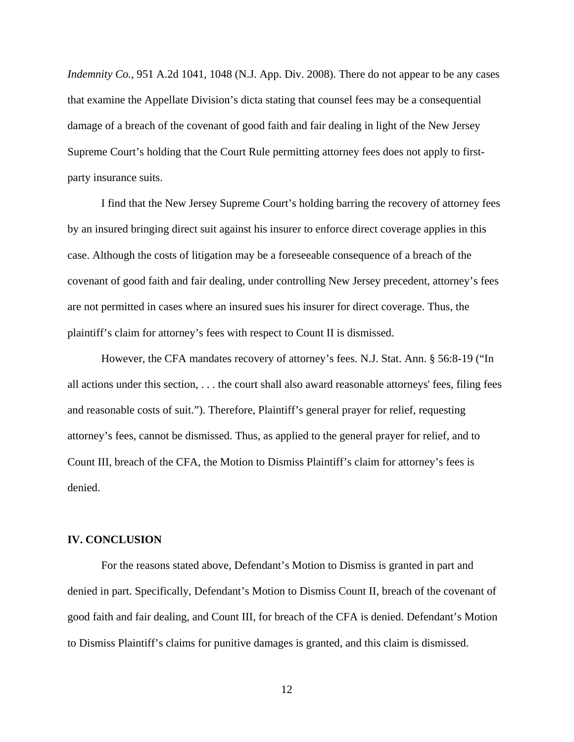*Indemnity Co.*, 951 A.2d 1041, 1048 (N.J. App. Div. 2008). There do not appear to be any cases that examine the Appellate Division's dicta stating that counsel fees may be a consequential damage of a breach of the covenant of good faith and fair dealing in light of the New Jersey Supreme Court's holding that the Court Rule permitting attorney fees does not apply to firstparty insurance suits.

 I find that the New Jersey Supreme Court's holding barring the recovery of attorney fees by an insured bringing direct suit against his insurer to enforce direct coverage applies in this case. Although the costs of litigation may be a foreseeable consequence of a breach of the covenant of good faith and fair dealing, under controlling New Jersey precedent, attorney's fees are not permitted in cases where an insured sues his insurer for direct coverage. Thus, the plaintiff's claim for attorney's fees with respect to Count II is dismissed.

 However, the CFA mandates recovery of attorney's fees. N.J. Stat. Ann. § 56:8-19 ("In all actions under this section, . . . the court shall also award reasonable attorneys' fees, filing fees and reasonable costs of suit."). Therefore, Plaintiff's general prayer for relief, requesting attorney's fees, cannot be dismissed. Thus, as applied to the general prayer for relief, and to Count III, breach of the CFA, the Motion to Dismiss Plaintiff's claim for attorney's fees is denied.

### **IV. CONCLUSION**

 For the reasons stated above, Defendant's Motion to Dismiss is granted in part and denied in part. Specifically, Defendant's Motion to Dismiss Count II, breach of the covenant of good faith and fair dealing, and Count III, for breach of the CFA is denied. Defendant's Motion to Dismiss Plaintiff's claims for punitive damages is granted, and this claim is dismissed.